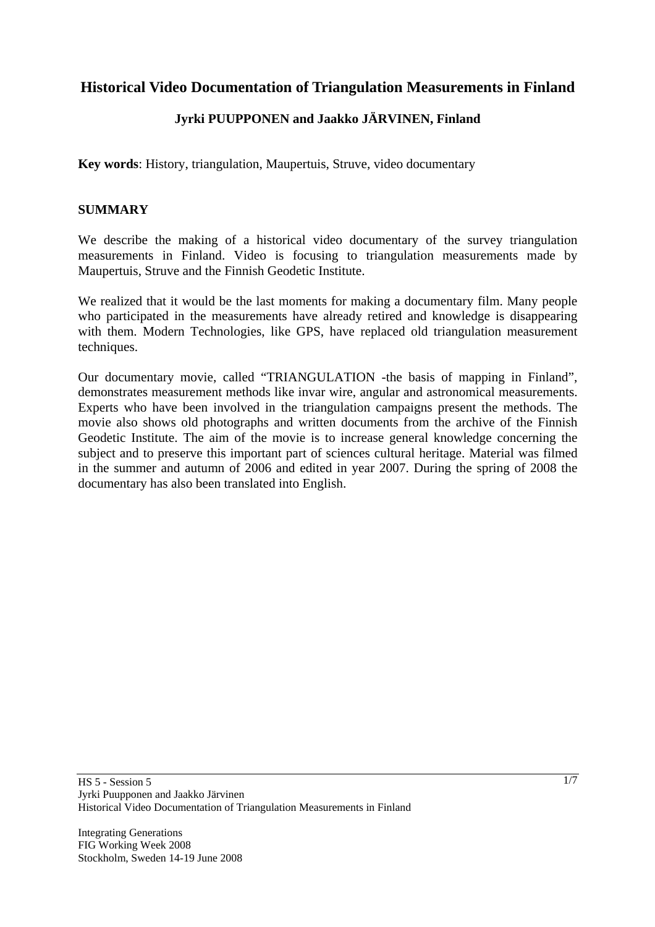# **Historical Video Documentation of Triangulation Measurements in Finland**

# **Jyrki PUUPPONEN and Jaakko JÄRVINEN, Finland**

**Key words**: History, triangulation, Maupertuis, Struve, video documentary

#### **SUMMARY**

We describe the making of a historical video documentary of the survey triangulation measurements in Finland. Video is focusing to triangulation measurements made by Maupertuis, Struve and the Finnish Geodetic Institute.

We realized that it would be the last moments for making a documentary film. Many people who participated in the measurements have already retired and knowledge is disappearing with them. Modern Technologies, like GPS, have replaced old triangulation measurement techniques.

Our documentary movie, called "TRIANGULATION -the basis of mapping in Finland", demonstrates measurement methods like invar wire, angular and astronomical measurements. Experts who have been involved in the triangulation campaigns present the methods. The movie also shows old photographs and written documents from the archive of the Finnish Geodetic Institute. The aim of the movie is to increase general knowledge concerning the subject and to preserve this important part of sciences cultural heritage. Material was filmed in the summer and autumn of 2006 and edited in year 2007. During the spring of 2008 the documentary has also been translated into English.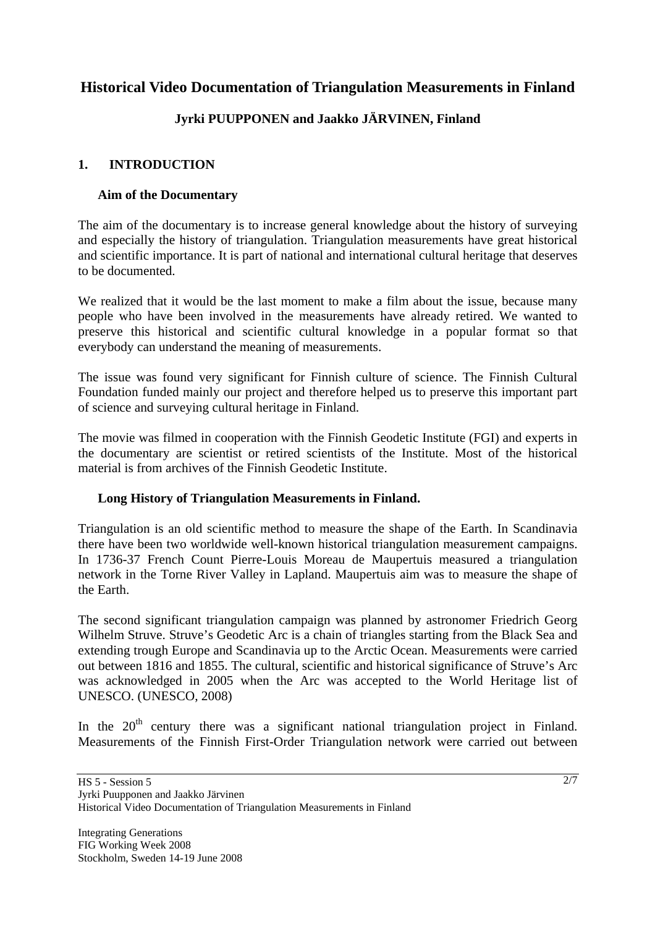# **Historical Video Documentation of Triangulation Measurements in Finland**

# **Jyrki PUUPPONEN and Jaakko JÄRVINEN, Finland**

## **1. INTRODUCTION**

#### **Aim of the Documentary**

The aim of the documentary is to increase general knowledge about the history of surveying and especially the history of triangulation. Triangulation measurements have great historical and scientific importance. It is part of national and international cultural heritage that deserves to be documented.

We realized that it would be the last moment to make a film about the issue, because many people who have been involved in the measurements have already retired. We wanted to preserve this historical and scientific cultural knowledge in a popular format so that everybody can understand the meaning of measurements.

The issue was found very significant for Finnish culture of science. The Finnish Cultural Foundation funded mainly our project and therefore helped us to preserve this important part of science and surveying cultural heritage in Finland.

The movie was filmed in cooperation with the Finnish Geodetic Institute (FGI) and experts in the documentary are scientist or retired scientists of the Institute. Most of the historical material is from archives of the Finnish Geodetic Institute.

#### **Long History of Triangulation Measurements in Finland.**

Triangulation is an old scientific method to measure the shape of the Earth. In Scandinavia there have been two worldwide well-known historical triangulation measurement campaigns. In 1736-37 French Count Pierre-Louis Moreau de Maupertuis measured a triangulation network in the Torne River Valley in Lapland. Maupertuis aim was to measure the shape of the Earth.

The second significant triangulation campaign was planned by astronomer Friedrich Georg Wilhelm Struve. Struve's Geodetic Arc is a chain of triangles starting from the Black Sea and extending trough Europe and Scandinavia up to the Arctic Ocean. Measurements were carried out between 1816 and 1855. The cultural, scientific and historical significance of Struve's Arc was acknowledged in 2005 when the Arc was accepted to the World Heritage list of UNESCO. (UNESCO, 2008)

In the  $20<sup>th</sup>$  century there was a significant national triangulation project in Finland. Measurements of the Finnish First-Order Triangulation network were carried out between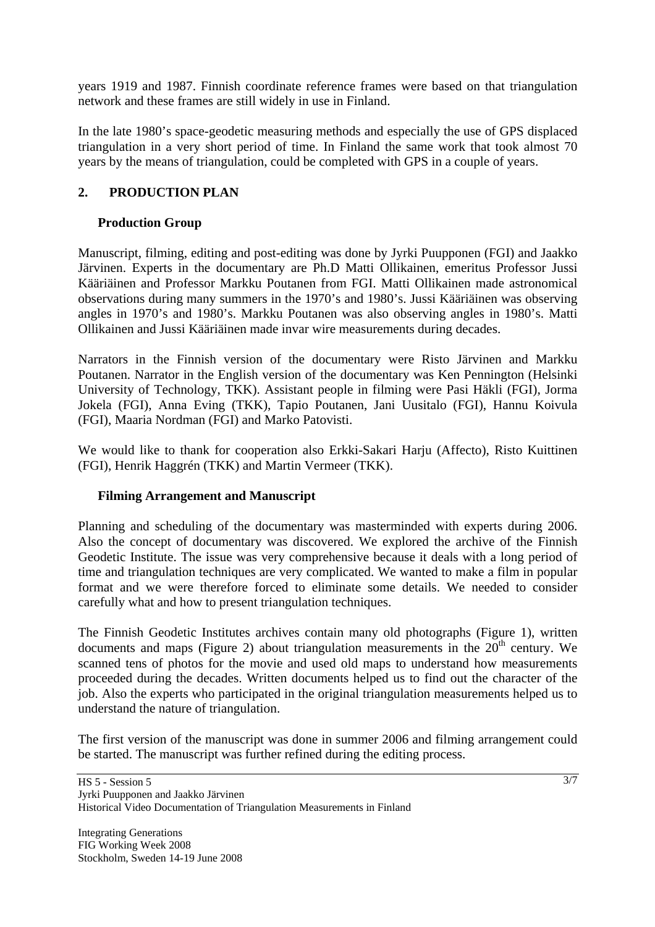years 1919 and 1987. Finnish coordinate reference frames were based on that triangulation network and these frames are still widely in use in Finland.

In the late 1980's space-geodetic measuring methods and especially the use of GPS displaced triangulation in a very short period of time. In Finland the same work that took almost 70 years by the means of triangulation, could be completed with GPS in a couple of years.

## **2. PRODUCTION PLAN**

## **Production Group**

Manuscript, filming, editing and post-editing was done by Jyrki Puupponen (FGI) and Jaakko Järvinen. Experts in the documentary are Ph.D Matti Ollikainen, emeritus Professor Jussi Kääriäinen and Professor Markku Poutanen from FGI. Matti Ollikainen made astronomical observations during many summers in the 1970's and 1980's. Jussi Kääriäinen was observing angles in 1970's and 1980's. Markku Poutanen was also observing angles in 1980's. Matti Ollikainen and Jussi Kääriäinen made invar wire measurements during decades.

Narrators in the Finnish version of the documentary were Risto Järvinen and Markku Poutanen. Narrator in the English version of the documentary was Ken Pennington (Helsinki University of Technology, TKK). Assistant people in filming were Pasi Häkli (FGI), Jorma Jokela (FGI), Anna Eving (TKK), Tapio Poutanen, Jani Uusitalo (FGI), Hannu Koivula (FGI), Maaria Nordman (FGI) and Marko Patovisti.

We would like to thank for cooperation also Erkki-Sakari Harju (Affecto), Risto Kuittinen (FGI), Henrik Haggrén (TKK) and Martin Vermeer (TKK).

#### **Filming Arrangement and Manuscript**

Planning and scheduling of the documentary was masterminded with experts during 2006. Also the concept of documentary was discovered. We explored the archive of the Finnish Geodetic Institute. The issue was very comprehensive because it deals with a long period of time and triangulation techniques are very complicated. We wanted to make a film in popular format and we were therefore forced to eliminate some details. We needed to consider carefully what and how to present triangulation techniques.

The Finnish Geodetic Institutes archives contain many old photographs (Figure 1), written documents and maps (Figure 2) about triangulation measurements in the  $20<sup>th</sup>$  century. We scanned tens of photos for the movie and used old maps to understand how measurements proceeded during the decades. Written documents helped us to find out the character of the job. Also the experts who participated in the original triangulation measurements helped us to understand the nature of triangulation.

The first version of the manuscript was done in summer 2006 and filming arrangement could be started. The manuscript was further refined during the editing process.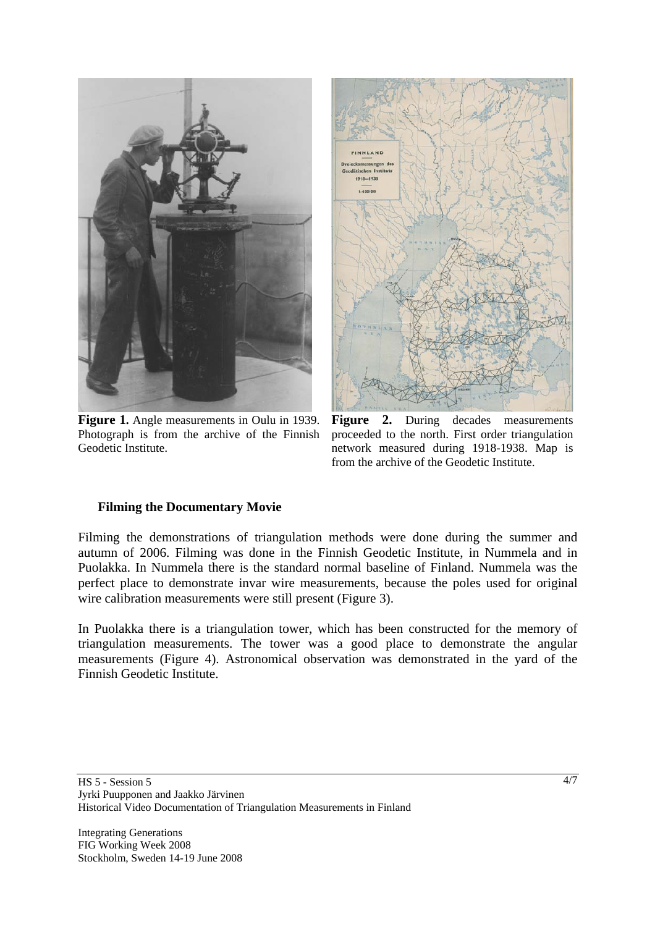

**Figure 1.** Angle measurements in Oulu in 1939. Photograph is from the archive of the Finnish Geodetic Institute.



Figure 2. During decades measurements proceeded to the north. First order triangulation network measured during 1918-1938. Map is from the archive of the Geodetic Institute.

#### **Filming the Documentary Movie**

Filming the demonstrations of triangulation methods were done during the summer and autumn of 2006. Filming was done in the Finnish Geodetic Institute, in Nummela and in Puolakka. In Nummela there is the standard normal baseline of Finland. Nummela was the perfect place to demonstrate invar wire measurements, because the poles used for original wire calibration measurements were still present (Figure 3).

In Puolakka there is a triangulation tower, which has been constructed for the memory of triangulation measurements. The tower was a good place to demonstrate the angular measurements (Figure 4). Astronomical observation was demonstrated in the yard of the Finnish Geodetic Institute.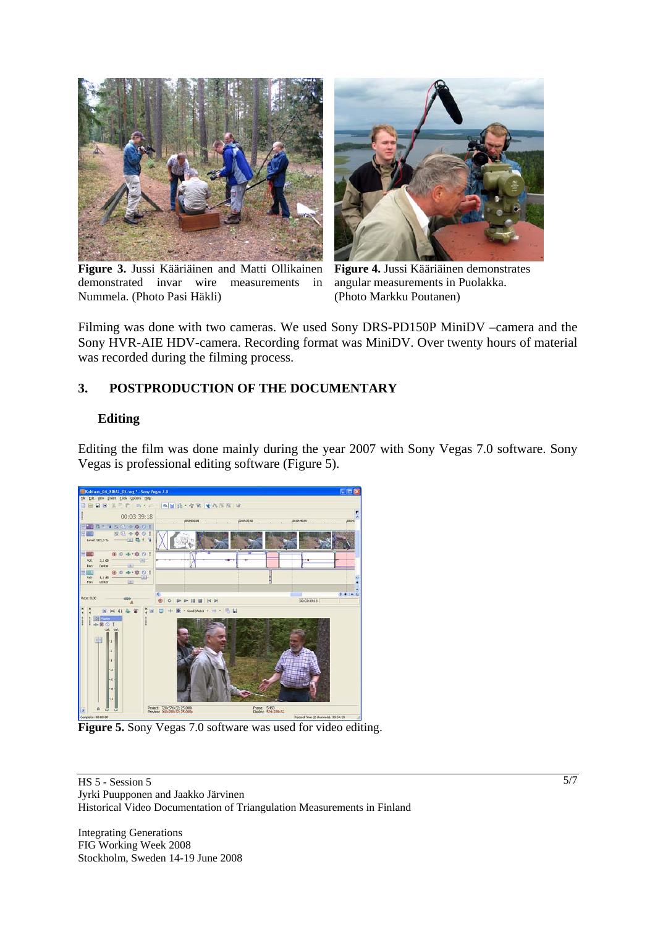

**Figure 3.** Jussi Kääriäinen and Matti Ollikainen demonstrated invar wire measurements in Nummela. (Photo Pasi Häkli)



**Figure 4.** Jussi Kääriäinen demonstrates angular measurements in Puolakka. (Photo Markku Poutanen)

Filming was done with two cameras. We used Sony DRS-PD150P MiniDV –camera and the Sony HVR-AIE HDV-camera. Recording format was MiniDV. Over twenty hours of material was recorded during the filming process.

## **3. POSTPRODUCTION OF THE DOCUMENTARY**

#### **Editing**

Editing the film was done mainly during the year 2007 with Sony Vegas 7.0 software. Sony Vegas is professional editing software (Figure 5).



**Figure 5.** Sony Vegas 7.0 software was used for video editing.

HS 5 - Session 5 Jyrki Puupponen and Jaakko Järvinen Historical Video Documentation of Triangulation Measurements in Finland

Integrating Generations FIG Working Week 2008 Stockholm, Sweden 14-19 June 2008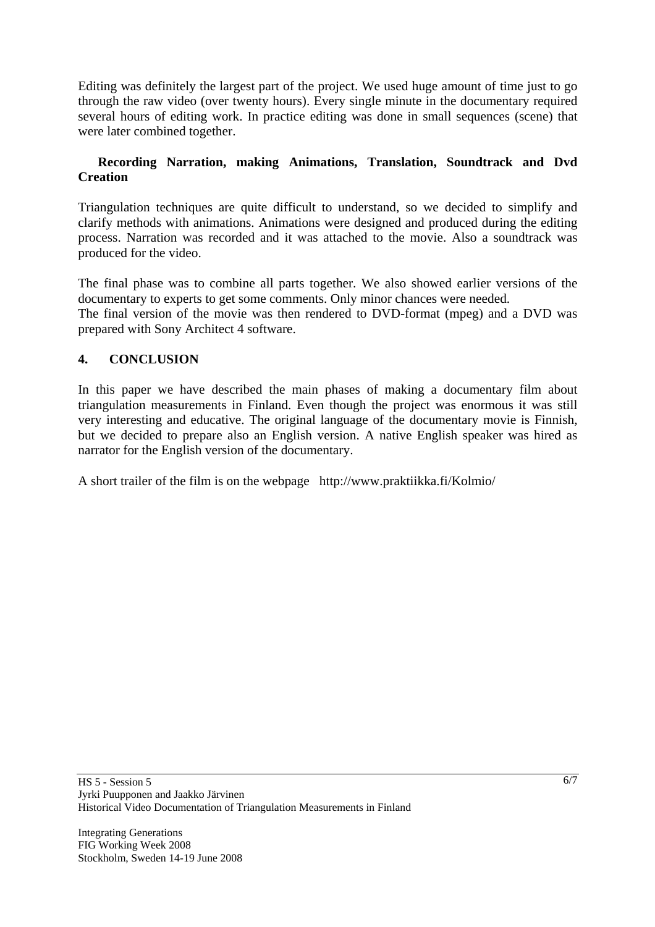Editing was definitely the largest part of the project. We used huge amount of time just to go through the raw video (over twenty hours). Every single minute in the documentary required several hours of editing work. In practice editing was done in small sequences (scene) that were later combined together.

## **Recording Narration, making Animations, Translation, Soundtrack and Dvd Creation**

Triangulation techniques are quite difficult to understand, so we decided to simplify and clarify methods with animations. Animations were designed and produced during the editing process. Narration was recorded and it was attached to the movie. Also a soundtrack was produced for the video.

The final phase was to combine all parts together. We also showed earlier versions of the documentary to experts to get some comments. Only minor chances were needed. The final version of the movie was then rendered to DVD-format (mpeg) and a DVD was prepared with Sony Architect 4 software.

# **4. CONCLUSION**

In this paper we have described the main phases of making a documentary film about triangulation measurements in Finland. Even though the project was enormous it was still very interesting and educative. The original language of the documentary movie is Finnish, but we decided to prepare also an English version. A native English speaker was hired as narrator for the English version of the documentary.

A short trailer of the film is on the webpage http://www.praktiikka.fi/Kolmio/